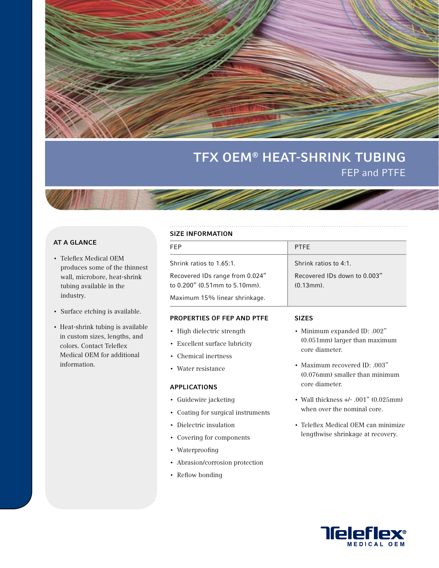

# TFX OEM® HEAT-SHRINK TUBING FEP and PTFE

## AT A GLANCE

- Teleflex Medical OEM produces some of the thinnest wall, microbore, heat-shrink tubing available in the industry.
- Surface etching is available.
- Heat-shrink tubing is available in custom sizes, lengths, and colors. Contact Teleflex Medical OEM for additional information.

#### SIZE INFORMATION

| JILL IINI VINIIAI IVIN                                           |                                                  |  |
|------------------------------------------------------------------|--------------------------------------------------|--|
| FEP                                                              | <b>PTFF</b>                                      |  |
| Shrink ratios to 1.65:1.                                         | Shrink ratios to 4:1.                            |  |
| Recovered IDs range from 0.024"<br>to 0.200" (0.51mm to 5.10mm). | Recovered IDs down to 0.003"<br>$(0.13$ mm $)$ . |  |
| Maximum 15% linear shrinkage.                                    |                                                  |  |

#### PROPERTIES OF FEP AND PTFE

- High dielectric strength
- Excellent surface lubricity
- Chemical inertness
- Water resistance

#### APPLICATIONS

- Guidewire jacketing
- Coating for surgical instruments
- Dielectric insulation
- Covering for components
- Waterproofing
- Abrasion/corrosion protection
- Reflow bonding

#### SIZES

- Minimum expanded ID: .002" (0.051mm) larger than maximum core diameter.
- Maximum recovered ID: .003" (0.076mm) smaller than minimum core diameter.
- Wall thickness +/- .001" (0.025mm) when over the nominal core.
- Teleflex Medical OEM can minimize lengthwise shrinkage at recovery.